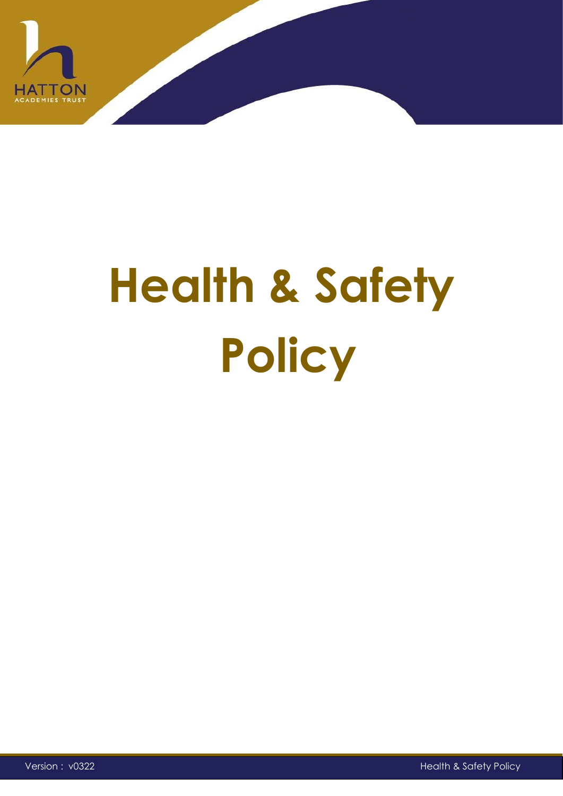

# **Health & Safety Policy**

Version : v0322 Health & Safety Policy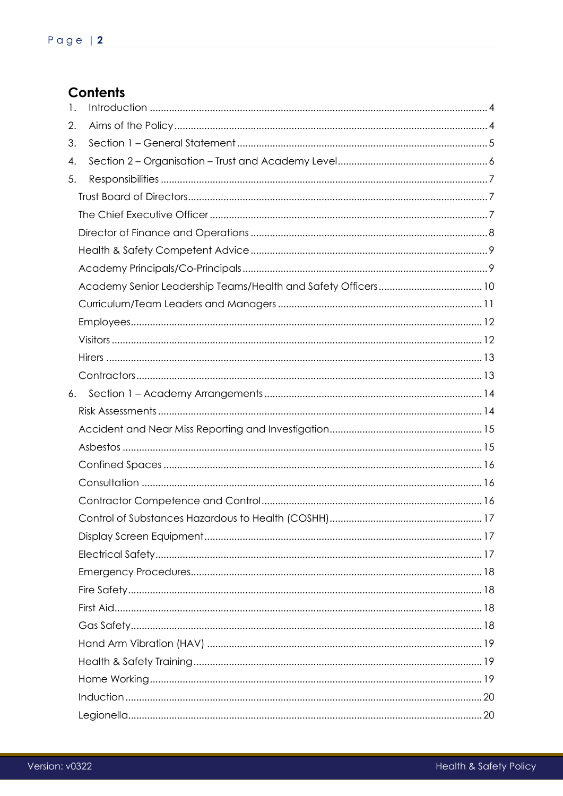# **Contents**

| 1. |  |
|----|--|
| 2. |  |
| 3. |  |
| 4. |  |
| 5. |  |
|    |  |
|    |  |
|    |  |
|    |  |
|    |  |
|    |  |
|    |  |
|    |  |
|    |  |
|    |  |
|    |  |
| 6. |  |
|    |  |
|    |  |
|    |  |
|    |  |
|    |  |
|    |  |
|    |  |
|    |  |
|    |  |
|    |  |
|    |  |
|    |  |
|    |  |
|    |  |
|    |  |
|    |  |
|    |  |
|    |  |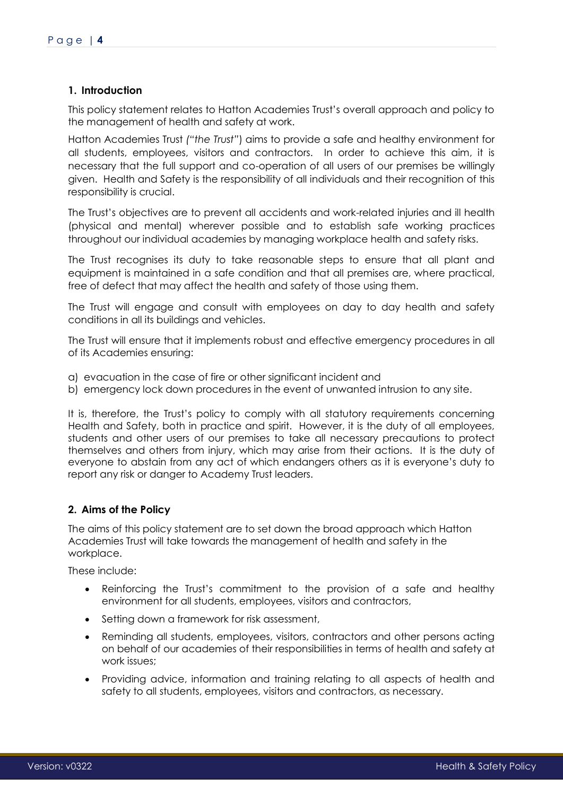# <span id="page-3-0"></span>**1. Introduction**

This policy statement relates to Hatton Academies Trust's overall approach and policy to the management of health and safety at work.

Hatton Academies Trust *("the Trust"*) aims to provide a safe and healthy environment for all students, employees, visitors and contractors. In order to achieve this aim, it is necessary that the full support and co-operation of all users of our premises be willingly given. Health and Safety is the responsibility of all individuals and their recognition of this responsibility is crucial.

The Trust's objectives are to prevent all accidents and work-related injuries and ill health (physical and mental) wherever possible and to establish safe working practices throughout our individual academies by managing workplace health and safety risks.

The Trust recognises its duty to take reasonable steps to ensure that all plant and equipment is maintained in a safe condition and that all premises are, where practical, free of defect that may affect the health and safety of those using them.

The Trust will engage and consult with employees on day to day health and safety conditions in all its buildings and vehicles.

The Trust will ensure that it implements robust and effective emergency procedures in all of its Academies ensuring:

- a) evacuation in the case of fire or other significant incident and
- b) emergency lock down procedures in the event of unwanted intrusion to any site.

It is, therefore, the Trust's policy to comply with all statutory requirements concerning Health and Safety, both in practice and spirit. However, it is the duty of all employees, students and other users of our premises to take all necessary precautions to protect themselves and others from injury, which may arise from their actions. It is the duty of everyone to abstain from any act of which endangers others as it is everyone's duty to report any risk or danger to Academy Trust leaders.

# <span id="page-3-1"></span>**2. Aims of the Policy**

The aims of this policy statement are to set down the broad approach which Hatton Academies Trust will take towards the management of health and safety in the workplace.

These include:

- Reinforcing the Trust's commitment to the provision of a safe and healthy environment for all students, employees, visitors and contractors,
- Setting down a framework for risk assessment,
- Reminding all students, employees, visitors, contractors and other persons acting on behalf of our academies of their responsibilities in terms of health and safety at work issues;
- Providing advice, information and training relating to all aspects of health and safety to all students, employees, visitors and contractors, as necessary.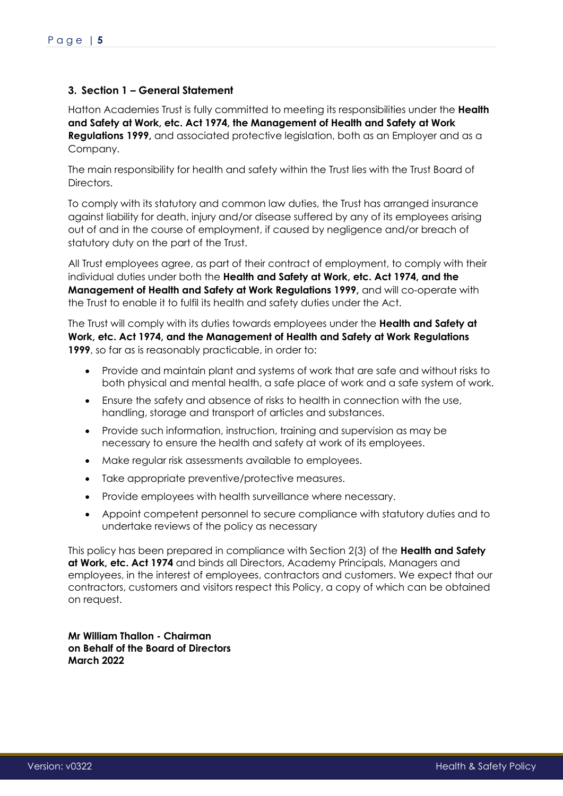# <span id="page-4-0"></span>**3. Section 1 – General Statement**

Hatton Academies Trust is fully committed to meeting its responsibilities under the **Health and Safety at Work, etc. Act 1974, the Management of Health and Safety at Work Regulations 1999,** and associated protective legislation, both as an Employer and as a Company.

The main responsibility for health and safety within the Trust lies with the Trust Board of Directors.

To comply with its statutory and common law duties, the Trust has arranged insurance against liability for death, injury and/or disease suffered by any of its employees arising out of and in the course of employment, if caused by negligence and/or breach of statutory duty on the part of the Trust.

All Trust employees agree, as part of their contract of employment, to comply with their individual duties under both the **Health and Safety at Work, etc. Act 1974, and the Management of Health and Safety at Work Regulations 1999,** and will co-operate with the Trust to enable it to fulfil its health and safety duties under the Act.

The Trust will comply with its duties towards employees under the **Health and Safety at Work, etc. Act 1974, and the Management of Health and Safety at Work Regulations 1999**, so far as is reasonably practicable, in order to:

- Provide and maintain plant and systems of work that are safe and without risks to both physical and mental health, a safe place of work and a safe system of work.
- Ensure the safety and absence of risks to health in connection with the use, handling, storage and transport of articles and substances.
- Provide such information, instruction, training and supervision as may be necessary to ensure the health and safety at work of its employees.
- Make regular risk assessments available to employees.
- Take appropriate preventive/protective measures.
- Provide employees with health surveillance where necessary.
- Appoint competent personnel to secure compliance with statutory duties and to undertake reviews of the policy as necessary

This policy has been prepared in compliance with Section 2(3) of the **Health and Safety at Work, etc. Act 1974** and binds all Directors, Academy Principals, Managers and employees, in the interest of employees, contractors and customers. We expect that our contractors, customers and visitors respect this Policy, a copy of which can be obtained on request.

**Mr William Thallon - Chairman on Behalf of the Board of Directors March 2022**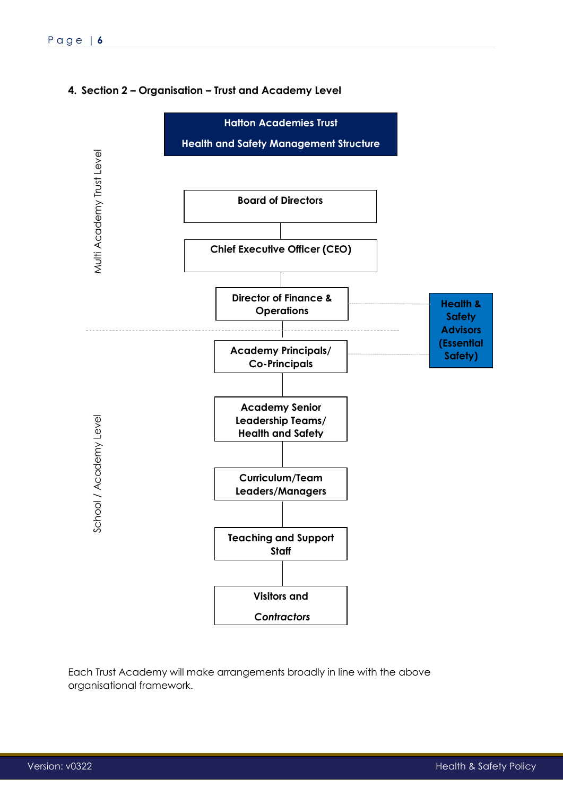# <span id="page-5-0"></span>**4. Section 2 – Organisation – Trust and Academy Level**



Each Trust Academy will make arrangements broadly in line with the above organisational framework.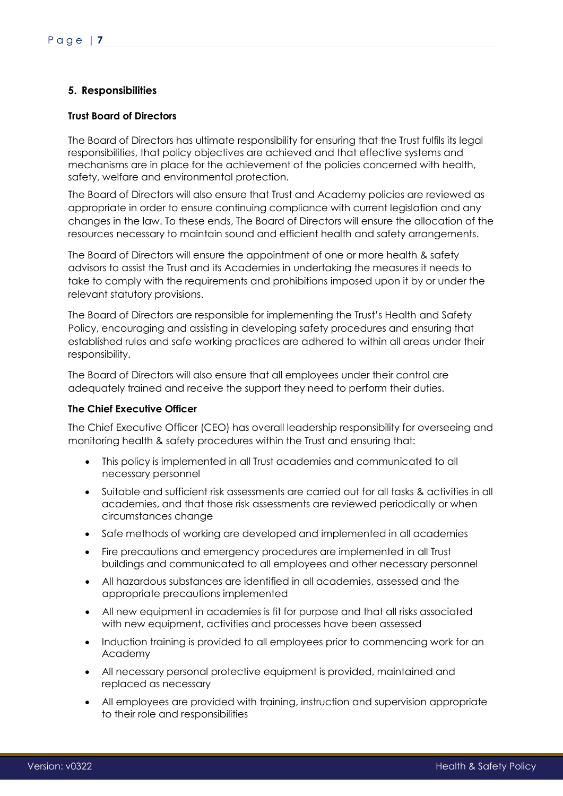# <span id="page-6-0"></span>**5. Responsibilities**

# <span id="page-6-1"></span>**Trust Board of Directors**

The Board of Directors has ultimate responsibility for ensuring that the Trust fulfils its legal responsibilities, that policy objectives are achieved and that effective systems and mechanisms are in place for the achievement of the policies concerned with health, safety, welfare and environmental protection.

The Board of Directors will also ensure that Trust and Academy policies are reviewed as appropriate in order to ensure continuing compliance with current legislation and any changes in the law. To these ends, The Board of Directors will ensure the allocation of the resources necessary to maintain sound and efficient health and safety arrangements.

The Board of Directors will ensure the appointment of one or more health & safety advisors to assist the Trust and its Academies in undertaking the measures it needs to take to comply with the requirements and prohibitions imposed upon it by or under the relevant statutory provisions.

The Board of Directors are responsible for implementing the Trust's Health and Safety Policy, encouraging and assisting in developing safety procedures and ensuring that established rules and safe working practices are adhered to within all areas under their responsibility.

The Board of Directors will also ensure that all employees under their control are adequately trained and receive the support they need to perform their duties.

### <span id="page-6-2"></span>**The Chief Executive Officer**

The Chief Executive Officer (CEO) has overall leadership responsibility for overseeing and monitoring health & safety procedures within the Trust and ensuring that:

- This policy is implemented in all Trust academies and communicated to all necessary personnel
- Suitable and sufficient risk assessments are carried out for all tasks & activities in all academies, and that those risk assessments are reviewed periodically or when circumstances change
- Safe methods of working are developed and implemented in all academies
- Fire precautions and emergency procedures are implemented in all Trust buildings and communicated to all employees and other necessary personnel
- All hazardous substances are identified in all academies, assessed and the appropriate precautions implemented
- All new equipment in academies is fit for purpose and that all risks associated with new equipment, activities and processes have been assessed
- Induction training is provided to all employees prior to commencing work for an Academy
- All necessary personal protective equipment is provided, maintained and replaced as necessary
- All employees are provided with training, instruction and supervision appropriate to their role and responsibilities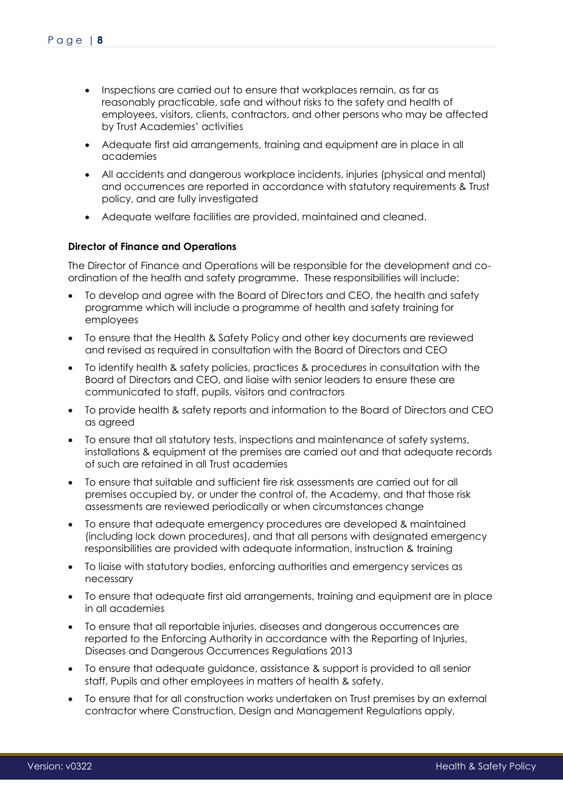- Inspections are carried out to ensure that workplaces remain, as far as reasonably practicable, safe and without risks to the safety and health of employees, visitors, clients, contractors, and other persons who may be affected by Trust Academies' activities
- Adequate first aid arrangements, training and equipment are in place in all academies
- All accidents and dangerous workplace incidents, injuries (physical and mental) and occurrences are reported in accordance with statutory requirements & Trust policy, and are fully investigated
- Adequate welfare facilities are provided, maintained and cleaned.

### <span id="page-7-0"></span>**Director of Finance and Operations**

The Director of Finance and Operations will be responsible for the development and coordination of the health and safety programme. These responsibilities will include:

- To develop and agree with the Board of Directors and CEO, the health and safety programme which will include a programme of health and safety training for employees
- To ensure that the Health & Safety Policy and other key documents are reviewed and revised as required in consultation with the Board of Directors and CEO
- To identify health & safety policies, practices & procedures in consultation with the Board of Directors and CEO, and liaise with senior leaders to ensure these are communicated to staff, pupils, visitors and contractors
- To provide health & safety reports and information to the Board of Directors and CEO as agreed
- To ensure that all statutory tests, inspections and maintenance of safety systems, installations & equipment at the premises are carried out and that adequate records of such are retained in all Trust academies
- To ensure that suitable and sufficient fire risk assessments are carried out for all premises occupied by, or under the control of, the Academy, and that those risk assessments are reviewed periodically or when circumstances change
- To ensure that adequate emergency procedures are developed & maintained (including lock down procedures), and that all persons with designated emergency responsibilities are provided with adequate information, instruction & training
- To liaise with statutory bodies, enforcing authorities and emergency services as necessary
- To ensure that adequate first aid arrangements, training and equipment are in place in all academies
- To ensure that all reportable injuries, diseases and dangerous occurrences are reported to the Enforcing Authority in accordance with the Reporting of Injuries, Diseases and Dangerous Occurrences Regulations 2013
- To ensure that adequate guidance, assistance & support is provided to all senior staff, Pupils and other employees in matters of health & safety.
- To ensure that for all construction works undertaken on Trust premises by an external contractor where Construction, Design and Management Regulations apply,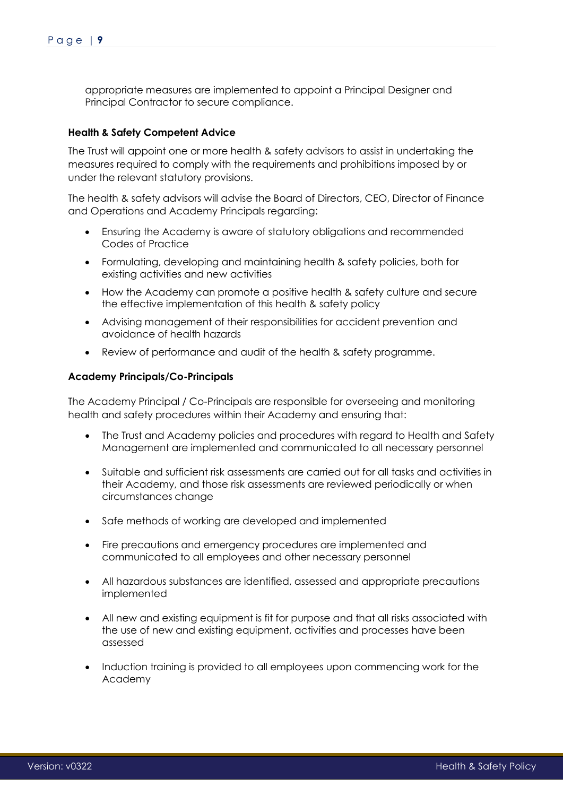appropriate measures are implemented to appoint a Principal Designer and Principal Contractor to secure compliance.

# <span id="page-8-0"></span>**Health & Safety Competent Advice**

The Trust will appoint one or more health & safety advisors to assist in undertaking the measures required to comply with the requirements and prohibitions imposed by or under the relevant statutory provisions.

The health & safety advisors will advise the Board of Directors, CEO, Director of Finance and Operations and Academy Principals regarding:

- Ensuring the Academy is aware of statutory obligations and recommended Codes of Practice
- Formulating, developing and maintaining health & safety policies, both for existing activities and new activities
- How the Academy can promote a positive health & safety culture and secure the effective implementation of this health & safety policy
- Advising management of their responsibilities for accident prevention and avoidance of health hazards
- Review of performance and audit of the health & safety programme.

### <span id="page-8-1"></span>**Academy Principals/Co-Principals**

The Academy Principal / Co-Principals are responsible for overseeing and monitoring health and safety procedures within their Academy and ensuring that:

- The Trust and Academy policies and procedures with regard to Health and Safety Management are implemented and communicated to all necessary personnel
- Suitable and sufficient risk assessments are carried out for all tasks and activities in their Academy, and those risk assessments are reviewed periodically or when circumstances change
- Safe methods of working are developed and implemented
- Fire precautions and emergency procedures are implemented and communicated to all employees and other necessary personnel
- All hazardous substances are identified, assessed and appropriate precautions implemented
- All new and existing equipment is fit for purpose and that all risks associated with the use of new and existing equipment, activities and processes have been assessed
- Induction training is provided to all employees upon commencing work for the Academy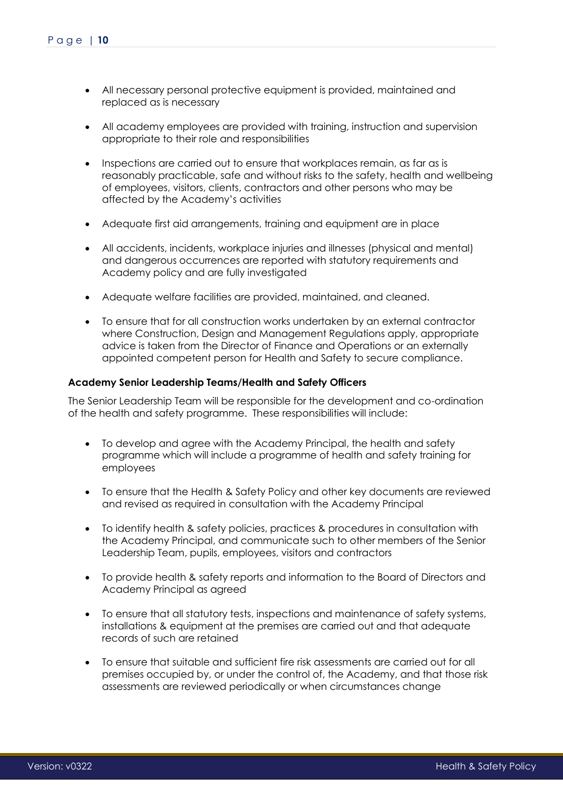- All necessary personal protective equipment is provided, maintained and replaced as is necessary
- All academy employees are provided with training, instruction and supervision appropriate to their role and responsibilities
- Inspections are carried out to ensure that workplaces remain, as far as is reasonably practicable, safe and without risks to the safety, health and wellbeing of employees, visitors, clients, contractors and other persons who may be affected by the Academy's activities
- Adequate first aid arrangements, training and equipment are in place
- All accidents, incidents, workplace injuries and illnesses (physical and mental) and dangerous occurrences are reported with statutory requirements and Academy policy and are fully investigated
- Adequate welfare facilities are provided, maintained, and cleaned.
- To ensure that for all construction works undertaken by an external contractor where Construction, Design and Management Regulations apply, appropriate advice is taken from the Director of Finance and Operations or an externally appointed competent person for Health and Safety to secure compliance.

### <span id="page-9-0"></span>**Academy Senior Leadership Teams/Health and Safety Officers**

The Senior Leadership Team will be responsible for the development and co-ordination of the health and safety programme. These responsibilities will include:

- To develop and agree with the Academy Principal, the health and safety programme which will include a programme of health and safety training for employees
- To ensure that the Health & Safety Policy and other key documents are reviewed and revised as required in consultation with the Academy Principal
- To identify health & safety policies, practices & procedures in consultation with the Academy Principal, and communicate such to other members of the Senior Leadership Team, pupils, employees, visitors and contractors
- To provide health & safety reports and information to the Board of Directors and Academy Principal as agreed
- To ensure that all statutory tests, inspections and maintenance of safety systems, installations & equipment at the premises are carried out and that adequate records of such are retained
- To ensure that suitable and sufficient fire risk assessments are carried out for all premises occupied by, or under the control of, the Academy, and that those risk assessments are reviewed periodically or when circumstances change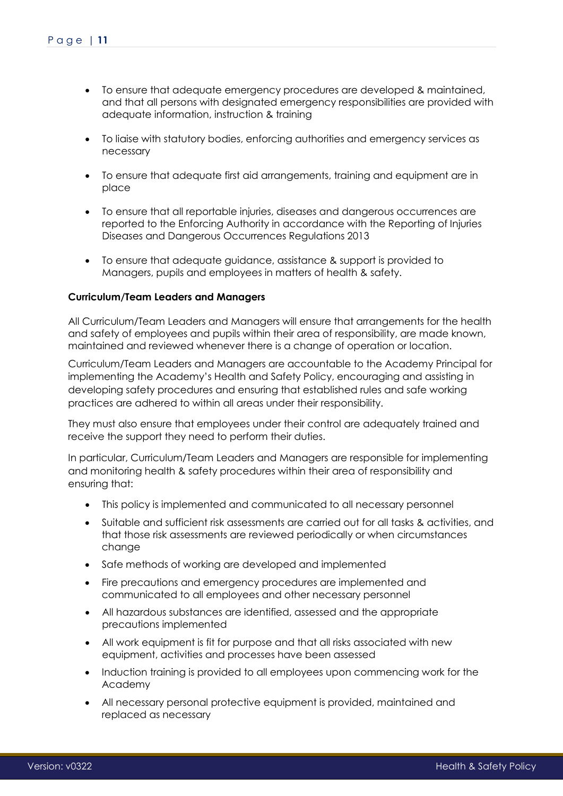- To ensure that adequate emergency procedures are developed & maintained, and that all persons with designated emergency responsibilities are provided with adequate information, instruction & training
- To liaise with statutory bodies, enforcing authorities and emergency services as necessary
- To ensure that adequate first aid arrangements, training and equipment are in place
- To ensure that all reportable injuries, diseases and dangerous occurrences are reported to the Enforcing Authority in accordance with the Reporting of Injuries Diseases and Dangerous Occurrences Regulations 2013
- To ensure that adequate guidance, assistance & support is provided to Managers, pupils and employees in matters of health & safety.

### <span id="page-10-0"></span>**Curriculum/Team Leaders and Managers**

All Curriculum/Team Leaders and Managers will ensure that arrangements for the health and safety of employees and pupils within their area of responsibility, are made known, maintained and reviewed whenever there is a change of operation or location.

Curriculum/Team Leaders and Managers are accountable to the Academy Principal for implementing the Academy's Health and Safety Policy, encouraging and assisting in developing safety procedures and ensuring that established rules and safe working practices are adhered to within all areas under their responsibility.

They must also ensure that employees under their control are adequately trained and receive the support they need to perform their duties.

In particular, Curriculum/Team Leaders and Managers are responsible for implementing and monitoring health & safety procedures within their area of responsibility and ensuring that:

- This policy is implemented and communicated to all necessary personnel
- Suitable and sufficient risk assessments are carried out for all tasks & activities, and that those risk assessments are reviewed periodically or when circumstances change
- Safe methods of working are developed and implemented
- Fire precautions and emergency procedures are implemented and communicated to all employees and other necessary personnel
- All hazardous substances are identified, assessed and the appropriate precautions implemented
- All work equipment is fit for purpose and that all risks associated with new equipment, activities and processes have been assessed
- Induction training is provided to all employees upon commencing work for the Academy
- All necessary personal protective equipment is provided, maintained and replaced as necessary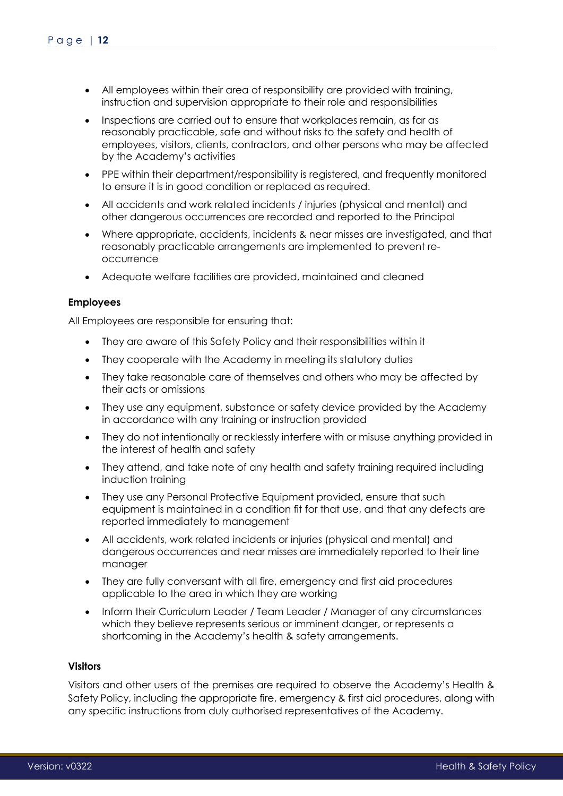- All employees within their area of responsibility are provided with training, instruction and supervision appropriate to their role and responsibilities
- Inspections are carried out to ensure that workplaces remain, as far as reasonably practicable, safe and without risks to the safety and health of employees, visitors, clients, contractors, and other persons who may be affected by the Academy's activities
- PPE within their department/responsibility is registered, and frequently monitored to ensure it is in good condition or replaced as required.
- All accidents and work related incidents / injuries (physical and mental) and other dangerous occurrences are recorded and reported to the Principal
- Where appropriate, accidents, incidents & near misses are investigated, and that reasonably practicable arrangements are implemented to prevent reoccurrence
- Adequate welfare facilities are provided, maintained and cleaned

### <span id="page-11-0"></span>**Employees**

All Employees are responsible for ensuring that:

- They are aware of this Safety Policy and their responsibilities within it
- They cooperate with the Academy in meeting its statutory duties
- They take reasonable care of themselves and others who may be affected by their acts or omissions
- They use any equipment, substance or safety device provided by the Academy in accordance with any training or instruction provided
- They do not intentionally or recklessly interfere with or misuse anything provided in the interest of health and safety
- They attend, and take note of any health and safety training required including induction training
- They use any Personal Protective Equipment provided, ensure that such equipment is maintained in a condition fit for that use, and that any defects are reported immediately to management
- All accidents, work related incidents or injuries (physical and mental) and dangerous occurrences and near misses are immediately reported to their line manager
- They are fully conversant with all fire, emergency and first aid procedures applicable to the area in which they are working
- Inform their Curriculum Leader / Team Leader / Manager of any circumstances which they believe represents serious or imminent danger, or represents a shortcoming in the Academy's health & safety arrangements.

### <span id="page-11-1"></span>**Visitors**

Visitors and other users of the premises are required to observe the Academy's Health & Safety Policy, including the appropriate fire, emergency & first aid procedures, along with any specific instructions from duly authorised representatives of the Academy.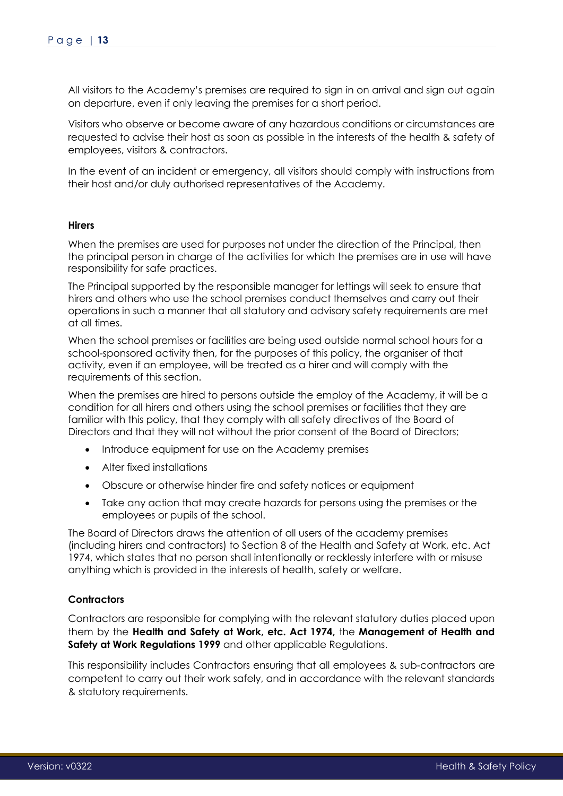All visitors to the Academy's premises are required to sign in on arrival and sign out again on departure, even if only leaving the premises for a short period.

Visitors who observe or become aware of any hazardous conditions or circumstances are requested to advise their host as soon as possible in the interests of the health & safety of employees, visitors & contractors.

In the event of an incident or emergency, all visitors should comply with instructions from their host and/or duly authorised representatives of the Academy.

### <span id="page-12-0"></span>**Hirers**

When the premises are used for purposes not under the direction of the Principal, then the principal person in charge of the activities for which the premises are in use will have responsibility for safe practices.

The Principal supported by the responsible manager for lettings will seek to ensure that hirers and others who use the school premises conduct themselves and carry out their operations in such a manner that all statutory and advisory safety requirements are met at all times.

When the school premises or facilities are being used outside normal school hours for a school-sponsored activity then, for the purposes of this policy, the organiser of that activity, even if an employee, will be treated as a hirer and will comply with the requirements of this section.

When the premises are hired to persons outside the employ of the Academy, it will be a condition for all hirers and others using the school premises or facilities that they are familiar with this policy, that they comply with all safety directives of the Board of Directors and that they will not without the prior consent of the Board of Directors;

- Introduce equipment for use on the Academy premises
- Alter fixed installations
- Obscure or otherwise hinder fire and safety notices or equipment
- Take any action that may create hazards for persons using the premises or the employees or pupils of the school.

The Board of Directors draws the attention of all users of the academy premises (including hirers and contractors) to Section 8 of the Health and Safety at Work, etc. Act 1974, which states that no person shall intentionally or recklessly interfere with or misuse anything which is provided in the interests of health, safety or welfare.

# <span id="page-12-1"></span>**Contractors**

Contractors are responsible for complying with the relevant statutory duties placed upon them by the **Health and Safety at Work, etc. Act 1974,** the **Management of Health and Safety at Work Regulations 1999** and other applicable Regulations.

This responsibility includes Contractors ensuring that all employees & sub-contractors are competent to carry out their work safely, and in accordance with the relevant standards & statutory requirements.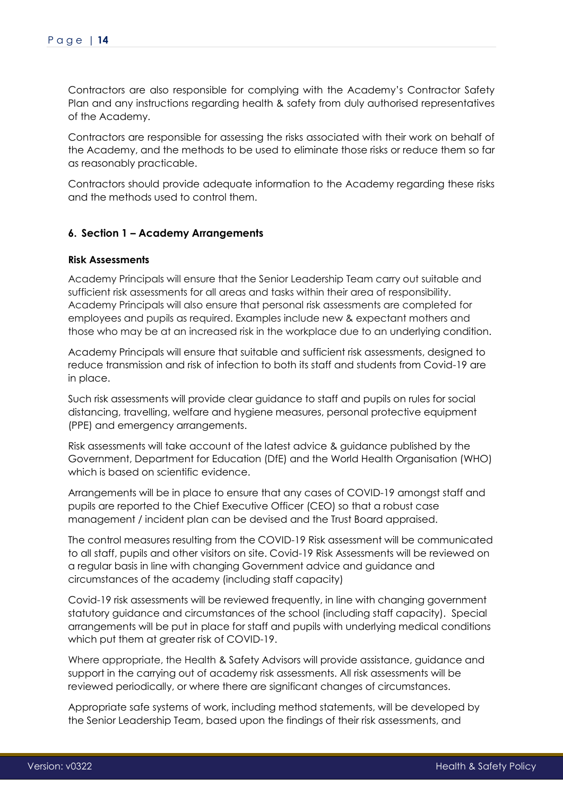Contractors are also responsible for complying with the Academy's Contractor Safety Plan and any instructions regarding health & safety from duly authorised representatives of the Academy.

Contractors are responsible for assessing the risks associated with their work on behalf of the Academy, and the methods to be used to eliminate those risks or reduce them so far as reasonably practicable.

Contractors should provide adequate information to the Academy regarding these risks and the methods used to control them.

# <span id="page-13-0"></span>**6. Section 1 – Academy Arrangements**

### <span id="page-13-1"></span>**Risk Assessments**

Academy Principals will ensure that the Senior Leadership Team carry out suitable and sufficient risk assessments for all areas and tasks within their area of responsibility. Academy Principals will also ensure that personal risk assessments are completed for employees and pupils as required. Examples include new & expectant mothers and those who may be at an increased risk in the workplace due to an underlying condition.

Academy Principals will ensure that suitable and sufficient risk assessments, designed to reduce transmission and risk of infection to both its staff and students from Covid-19 are in place.

Such risk assessments will provide clear guidance to staff and pupils on rules for social distancing, travelling, welfare and hygiene measures, personal protective equipment (PPE) and emergency arrangements.

Risk assessments will take account of the latest advice & guidance published by the Government, Department for Education (DfE) and the World Health Organisation (WHO) which is based on scientific evidence.

Arrangements will be in place to ensure that any cases of COVID-19 amongst staff and pupils are reported to the Chief Executive Officer (CEO) so that a robust case management / incident plan can be devised and the Trust Board appraised.

The control measures resulting from the COVID-19 Risk assessment will be communicated to all staff, pupils and other visitors on site. Covid-19 Risk Assessments will be reviewed on a regular basis in line with changing Government advice and guidance and circumstances of the academy (including staff capacity)

Covid-19 risk assessments will be reviewed frequently, in line with changing government statutory guidance and circumstances of the school (including staff capacity). Special arrangements will be put in place for staff and pupils with underlying medical conditions which put them at greater risk of COVID-19.

Where appropriate, the Health & Safety Advisors will provide assistance, guidance and support in the carrying out of academy risk assessments. All risk assessments will be reviewed periodically, or where there are significant changes of circumstances.

Appropriate safe systems of work, including method statements, will be developed by the Senior Leadership Team, based upon the findings of their risk assessments, and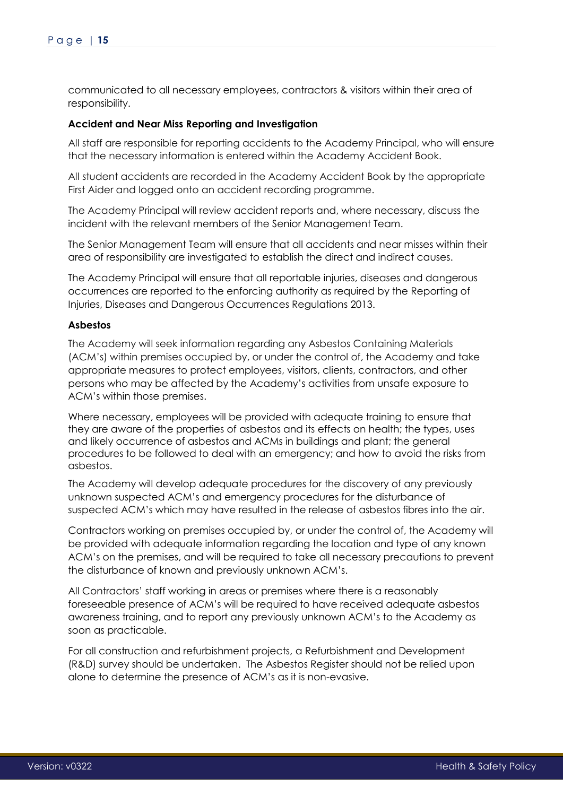communicated to all necessary employees, contractors & visitors within their area of responsibility.

### <span id="page-14-0"></span>**Accident and Near Miss Reporting and Investigation**

All staff are responsible for reporting accidents to the Academy Principal, who will ensure that the necessary information is entered within the Academy Accident Book.

All student accidents are recorded in the Academy Accident Book by the appropriate First Aider and logged onto an accident recording programme.

The Academy Principal will review accident reports and, where necessary, discuss the incident with the relevant members of the Senior Management Team.

The Senior Management Team will ensure that all accidents and near misses within their area of responsibility are investigated to establish the direct and indirect causes.

The Academy Principal will ensure that all reportable injuries, diseases and dangerous occurrences are reported to the enforcing authority as required by the Reporting of Injuries, Diseases and Dangerous Occurrences Regulations 2013.

### <span id="page-14-1"></span>**Asbestos**

The Academy will seek information regarding any Asbestos Containing Materials (ACM's) within premises occupied by, or under the control of, the Academy and take appropriate measures to protect employees, visitors, clients, contractors, and other persons who may be affected by the Academy's activities from unsafe exposure to ACM's within those premises.

Where necessary, employees will be provided with adequate training to ensure that they are aware of the properties of asbestos and its effects on health; the types, uses and likely occurrence of asbestos and ACMs in buildings and plant; the general procedures to be followed to deal with an emergency; and how to avoid the risks from asbestos.

The Academy will develop adequate procedures for the discovery of any previously unknown suspected ACM's and emergency procedures for the disturbance of suspected ACM's which may have resulted in the release of asbestos fibres into the air.

Contractors working on premises occupied by, or under the control of, the Academy will be provided with adequate information regarding the location and type of any known ACM's on the premises, and will be required to take all necessary precautions to prevent the disturbance of known and previously unknown ACM's.

All Contractors' staff working in areas or premises where there is a reasonably foreseeable presence of ACM's will be required to have received adequate asbestos awareness training, and to report any previously unknown ACM's to the Academy as soon as practicable.

For all construction and refurbishment projects, a Refurbishment and Development (R&D) survey should be undertaken. The Asbestos Register should not be relied upon alone to determine the presence of ACM's as it is non-evasive.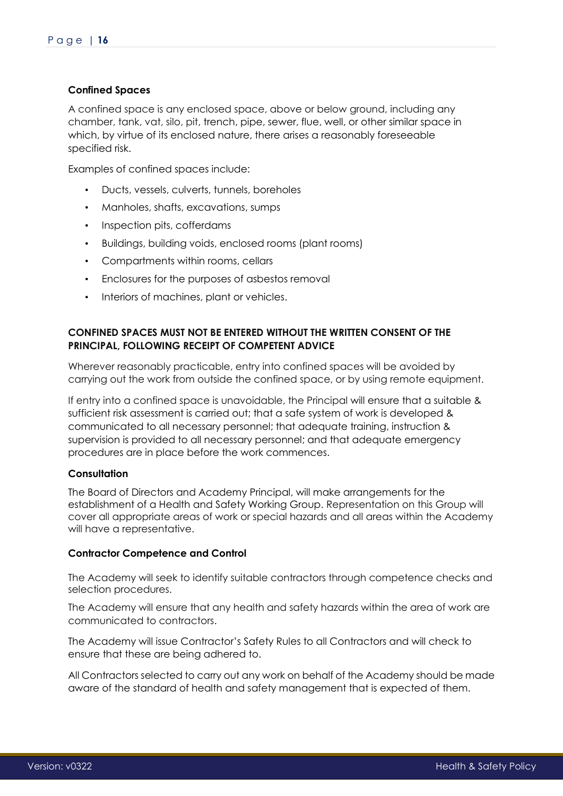# <span id="page-15-0"></span>**Confined Spaces**

A confined space is any enclosed space, above or below ground, including any chamber, tank, vat, silo, pit, trench, pipe, sewer, flue, well, or other similar space in which, by virtue of its enclosed nature, there arises a reasonably foreseeable specified risk.

Examples of confined spaces include:

- Ducts, vessels, culverts, tunnels, boreholes
- Manholes, shafts, excavations, sumps
- Inspection pits, cofferdams
- Buildings, building voids, enclosed rooms (plant rooms)
- Compartments within rooms, cellars
- Enclosures for the purposes of asbestos removal
- Interiors of machines, plant or vehicles.

# **CONFINED SPACES MUST NOT BE ENTERED WITHOUT THE WRITTEN CONSENT OF THE PRINCIPAL, FOLLOWING RECEIPT OF COMPETENT ADVICE**

Wherever reasonably practicable, entry into confined spaces will be avoided by carrying out the work from outside the confined space, or by using remote equipment.

If entry into a confined space is unavoidable, the Principal will ensure that a suitable & sufficient risk assessment is carried out; that a safe system of work is developed & communicated to all necessary personnel; that adequate training, instruction & supervision is provided to all necessary personnel; and that adequate emergency procedures are in place before the work commences.

# <span id="page-15-1"></span>**Consultation**

The Board of Directors and Academy Principal, will make arrangements for the establishment of a Health and Safety Working Group. Representation on this Group will cover all appropriate areas of work or special hazards and all areas within the Academy will have a representative.

### <span id="page-15-2"></span>**Contractor Competence and Control**

The Academy will seek to identify suitable contractors through competence checks and selection procedures.

The Academy will ensure that any health and safety hazards within the area of work are communicated to contractors.

The Academy will issue Contractor's Safety Rules to all Contractors and will check to ensure that these are being adhered to.

All Contractors selected to carry out any work on behalf of the Academy should be made aware of the standard of health and safety management that is expected of them.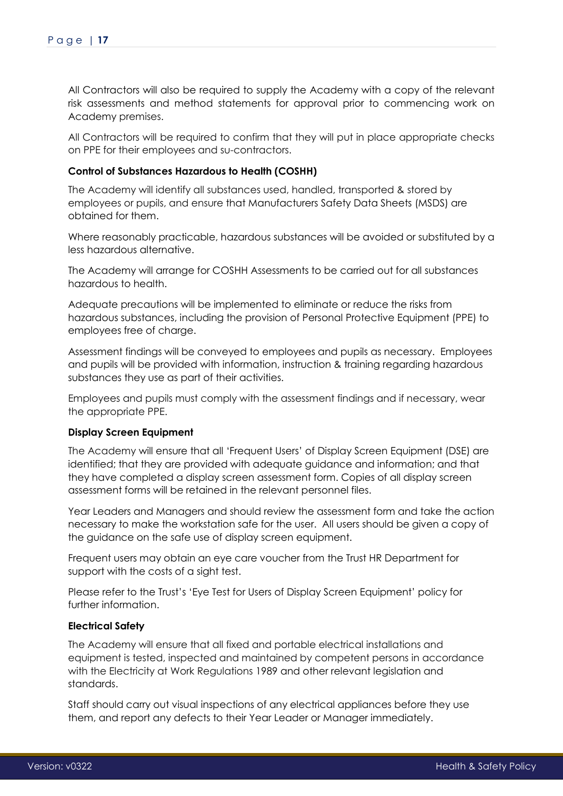All Contractors will also be required to supply the Academy with a copy of the relevant risk assessments and method statements for approval prior to commencing work on Academy premises.

All Contractors will be required to confirm that they will put in place appropriate checks on PPE for their employees and su-contractors.

### <span id="page-16-0"></span>**Control of Substances Hazardous to Health (COSHH)**

The Academy will identify all substances used, handled, transported & stored by employees or pupils, and ensure that Manufacturers Safety Data Sheets (MSDS) are obtained for them.

Where reasonably practicable, hazardous substances will be avoided or substituted by a less hazardous alternative.

The Academy will arrange for COSHH Assessments to be carried out for all substances hazardous to health.

Adequate precautions will be implemented to eliminate or reduce the risks from hazardous substances, including the provision of Personal Protective Equipment (PPE) to employees free of charge.

Assessment findings will be conveyed to employees and pupils as necessary. Employees and pupils will be provided with information, instruction & training regarding hazardous substances they use as part of their activities.

Employees and pupils must comply with the assessment findings and if necessary, wear the appropriate PPE.

### <span id="page-16-1"></span>**Display Screen Equipment**

The Academy will ensure that all 'Frequent Users' of Display Screen Equipment (DSE) are identified; that they are provided with adequate guidance and information; and that they have completed a display screen assessment form. Copies of all display screen assessment forms will be retained in the relevant personnel files.

Year Leaders and Managers and should review the assessment form and take the action necessary to make the workstation safe for the user. All users should be given a copy of the guidance on the safe use of display screen equipment.

Frequent users may obtain an eye care voucher from the Trust HR Department for support with the costs of a sight test.

Please refer to the Trust's 'Eye Test for Users of Display Screen Equipment' policy for further information.

# <span id="page-16-2"></span>**Electrical Safety**

The Academy will ensure that all fixed and portable electrical installations and equipment is tested, inspected and maintained by competent persons in accordance with the Electricity at Work Regulations 1989 and other relevant legislation and standards.

Staff should carry out visual inspections of any electrical appliances before they use them, and report any defects to their Year Leader or Manager immediately.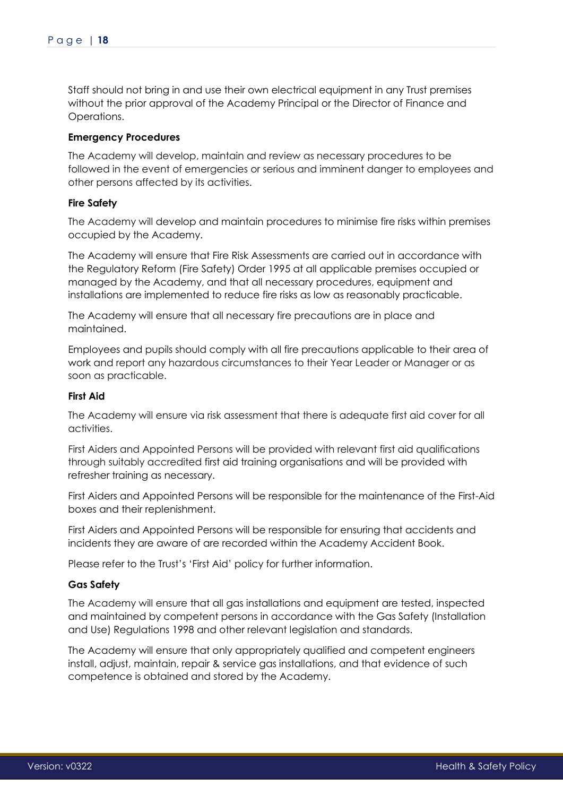Staff should not bring in and use their own electrical equipment in any Trust premises without the prior approval of the Academy Principal or the Director of Finance and Operations.

### <span id="page-17-0"></span>**Emergency Procedures**

The Academy will develop, maintain and review as necessary procedures to be followed in the event of emergencies or serious and imminent danger to employees and other persons affected by its activities.

### <span id="page-17-1"></span>**Fire Safety**

The Academy will develop and maintain procedures to minimise fire risks within premises occupied by the Academy.

The Academy will ensure that Fire Risk Assessments are carried out in accordance with the Regulatory Reform (Fire Safety) Order 1995 at all applicable premises occupied or managed by the Academy, and that all necessary procedures, equipment and installations are implemented to reduce fire risks as low as reasonably practicable.

The Academy will ensure that all necessary fire precautions are in place and maintained.

Employees and pupils should comply with all fire precautions applicable to their area of work and report any hazardous circumstances to their Year Leader or Manager or as soon as practicable.

### <span id="page-17-2"></span>**First Aid**

The Academy will ensure via risk assessment that there is adequate first aid cover for all activities.

First Aiders and Appointed Persons will be provided with relevant first aid qualifications through suitably accredited first aid training organisations and will be provided with refresher training as necessary.

First Aiders and Appointed Persons will be responsible for the maintenance of the First-Aid boxes and their replenishment.

First Aiders and Appointed Persons will be responsible for ensuring that accidents and incidents they are aware of are recorded within the Academy Accident Book.

Please refer to the Trust's 'First Aid' policy for further information.

### <span id="page-17-3"></span>**Gas Safety**

The Academy will ensure that all gas installations and equipment are tested, inspected and maintained by competent persons in accordance with the Gas Safety (Installation and Use) Regulations 1998 and other relevant legislation and standards.

The Academy will ensure that only appropriately qualified and competent engineers install, adjust, maintain, repair & service gas installations, and that evidence of such competence is obtained and stored by the Academy.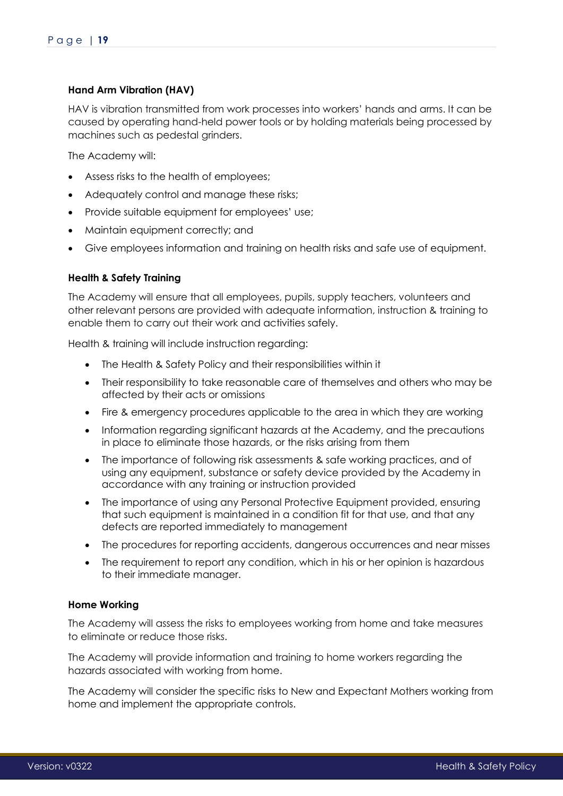# <span id="page-18-0"></span>**Hand Arm Vibration (HAV)**

HAV is vibration transmitted from work processes into workers' hands and arms. It can be caused by operating hand-held power tools or by holding materials being processed by machines such as pedestal grinders.

The Academy will:

- Assess risks to the health of employees;
- Adequately control and manage these risks:
- Provide suitable equipment for employees' use;
- Maintain equipment correctly; and
- Give employees information and training on health risks and safe use of equipment.

### <span id="page-18-1"></span>**Health & Safety Training**

The Academy will ensure that all employees, pupils, supply teachers, volunteers and other relevant persons are provided with adequate information, instruction & training to enable them to carry out their work and activities safely.

Health & training will include instruction regarding:

- The Health & Safety Policy and their responsibilities within it
- Their responsibility to take reasonable care of themselves and others who may be affected by their acts or omissions
- Fire & emergency procedures applicable to the area in which they are working
- Information regarding significant hazards at the Academy, and the precautions in place to eliminate those hazards, or the risks arising from them
- The importance of following risk assessments & safe working practices, and of using any equipment, substance or safety device provided by the Academy in accordance with any training or instruction provided
- The importance of using any Personal Protective Equipment provided, ensuring that such equipment is maintained in a condition fit for that use, and that any defects are reported immediately to management
- The procedures for reporting accidents, dangerous occurrences and near misses
- The requirement to report any condition, which in his or her opinion is hazardous to their immediate manager.

### <span id="page-18-2"></span>**Home Working**

The Academy will assess the risks to employees working from home and take measures to eliminate or reduce those risks.

The Academy will provide information and training to home workers regarding the hazards associated with working from home.

The Academy will consider the specific risks to New and Expectant Mothers working from home and implement the appropriate controls.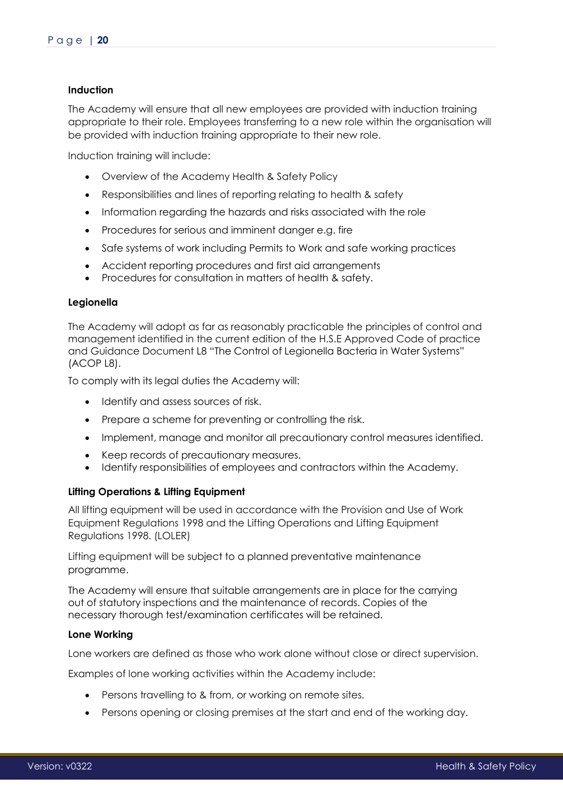### <span id="page-19-0"></span>**Induction**

The Academy will ensure that all new employees are provided with induction training appropriate to their role. Employees transferring to a new role within the organisation will be provided with induction training appropriate to their new role.

Induction training will include:

- Overview of the Academy Health & Safety Policy
- Responsibilities and lines of reporting relating to health & safety
- Information regarding the hazards and risks associated with the role
- Procedures for serious and imminent danger e.g. fire
- Safe systems of work including Permits to Work and safe working practices
- Accident reporting procedures and first aid arrangements
- Procedures for consultation in matters of health & safety.

### <span id="page-19-1"></span>**Legionella**

The Academy will adopt as far as reasonably practicable the principles of control and management identified in the current edition of the H.S.E Approved Code of practice and Guidance Document L8 "The Control of Legionella Bacteria in Water Systems" (ACOP L8).

To comply with its legal duties the Academy will:

- Identify and assess sources of risk.
- Prepare a scheme for preventing or controlling the risk.
- Implement, manage and monitor all precautionary control measures identified.
- Keep records of precautionary measures.
- Identify responsibilities of employees and contractors within the Academy.

### <span id="page-19-2"></span>**Lifting Operations & Lifting Equipment**

All lifting equipment will be used in accordance with the Provision and Use of Work Equipment Regulations 1998 and the Lifting Operations and Lifting Equipment Regulations 1998. (LOLER)

Lifting equipment will be subject to a planned preventative maintenance programme.

The Academy will ensure that suitable arrangements are in place for the carrying out of statutory inspections and the maintenance of records. Copies of the necessary thorough test/examination certificates will be retained.

### <span id="page-19-3"></span>**Lone Working**

Lone workers are defined as those who work alone without close or direct supervision.

Examples of lone working activities within the Academy include:

- Persons travelling to & from, or working on remote sites.
- Persons opening or closing premises at the start and end of the working day.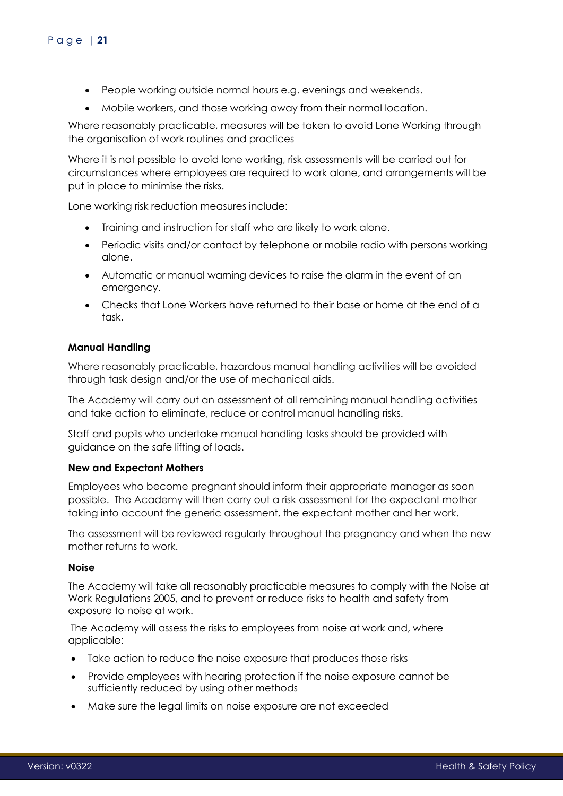- People working outside normal hours e.g. evenings and weekends.
- Mobile workers, and those working away from their normal location.

Where reasonably practicable, measures will be taken to avoid Lone Working through the organisation of work routines and practices

Where it is not possible to avoid lone working, risk assessments will be carried out for circumstances where employees are required to work alone, and arrangements will be put in place to minimise the risks.

Lone working risk reduction measures include:

- Training and instruction for staff who are likely to work alone.
- Periodic visits and/or contact by telephone or mobile radio with persons working alone.
- Automatic or manual warning devices to raise the alarm in the event of an emergency.
- Checks that Lone Workers have returned to their base or home at the end of a task.

# <span id="page-20-0"></span>**Manual Handling**

Where reasonably practicable, hazardous manual handling activities will be avoided through task design and/or the use of mechanical aids.

The Academy will carry out an assessment of all remaining manual handling activities and take action to eliminate, reduce or control manual handling risks.

Staff and pupils who undertake manual handling tasks should be provided with guidance on the safe lifting of loads.

### <span id="page-20-1"></span>**New and Expectant Mothers**

Employees who become pregnant should inform their appropriate manager as soon possible. The Academy will then carry out a risk assessment for the expectant mother taking into account the generic assessment, the expectant mother and her work.

The assessment will be reviewed regularly throughout the pregnancy and when the new mother returns to work.

### <span id="page-20-2"></span>**Noise**

The Academy will take all reasonably practicable measures to comply with the Noise at Work Regulations 2005, and to prevent or reduce risks to health and safety from exposure to noise at work.

 The Academy will assess the risks to employees from noise at work and, where applicable:

- Take action to reduce the noise exposure that produces those risks
- Provide employees with hearing protection if the noise exposure cannot be sufficiently reduced by using other methods
- Make sure the legal limits on noise exposure are not exceeded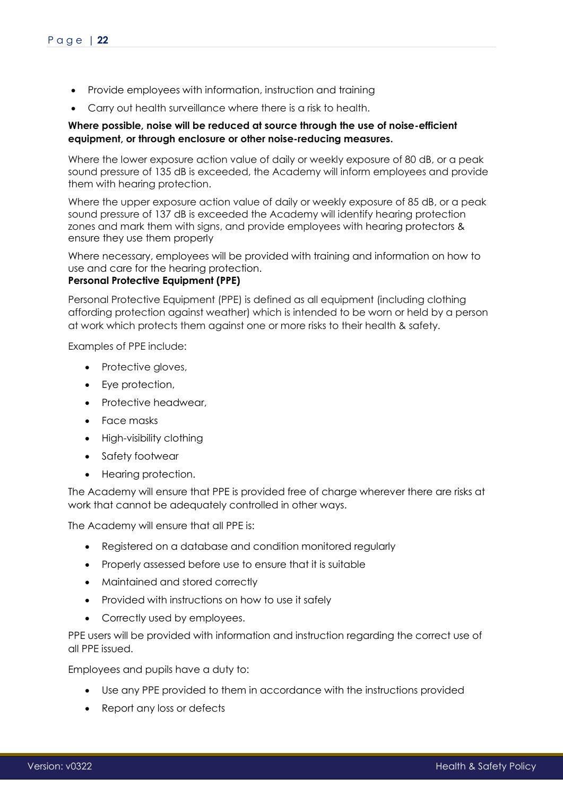- Provide employees with information, instruction and training
- Carry out health surveillance where there is a risk to health.

# **Where possible, noise will be reduced at source through the use of noise-efficient equipment, or through enclosure or other noise-reducing measures.**

Where the lower exposure action value of daily or weekly exposure of 80 dB, or a peak sound pressure of 135 dB is exceeded, the Academy will inform employees and provide them with hearing protection.

Where the upper exposure action value of daily or weekly exposure of 85 dB, or a peak sound pressure of 137 dB is exceeded the Academy will identify hearing protection zones and mark them with signs, and provide employees with hearing protectors & ensure they use them properly

Where necessary, employees will be provided with training and information on how to use and care for the hearing protection.

# <span id="page-21-0"></span>**Personal Protective Equipment (PPE)**

Personal Protective Equipment (PPE) is defined as all equipment (including clothing affording protection against weather) which is intended to be worn or held by a person at work which protects them against one or more risks to their health & safety.

Examples of PPE include:

- Protective gloves,
- Eye protection,
- Protective headwear,
- Face masks
- High-visibility clothing
- Safety footwear
- Hearing protection.

The Academy will ensure that PPE is provided free of charge wherever there are risks at work that cannot be adequately controlled in other ways.

The Academy will ensure that all PPE is:

- Registered on a database and condition monitored regularly
- Properly assessed before use to ensure that it is suitable
- Maintained and stored correctly
- Provided with instructions on how to use it safely
- Correctly used by employees.

PPE users will be provided with information and instruction regarding the correct use of all PPE issued.

Employees and pupils have a duty to:

- Use any PPE provided to them in accordance with the instructions provided
- Report any loss or defects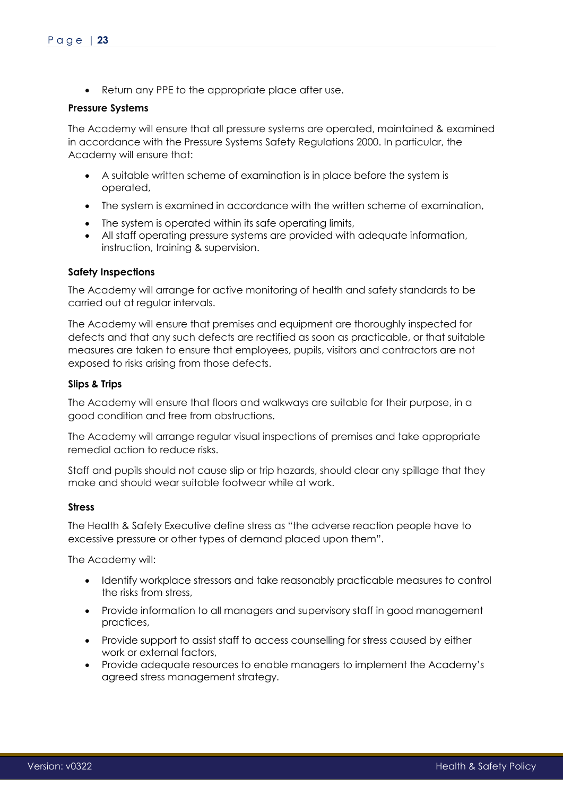• Return any PPE to the appropriate place after use.

### **Pressure Systems**

The Academy will ensure that all pressure systems are operated, maintained & examined in accordance with the Pressure Systems Safety Regulations 2000. In particular, the Academy will ensure that:

- A suitable written scheme of examination is in place before the system is operated,
- The system is examined in accordance with the written scheme of examination,
- The system is operated within its safe operating limits,
- All staff operating pressure systems are provided with adequate information, instruction, training & supervision.

### <span id="page-22-0"></span>**Safety Inspections**

The Academy will arrange for active monitoring of health and safety standards to be carried out at regular intervals.

The Academy will ensure that premises and equipment are thoroughly inspected for defects and that any such defects are rectified as soon as practicable, or that suitable measures are taken to ensure that employees, pupils, visitors and contractors are not exposed to risks arising from those defects.

### <span id="page-22-1"></span>**Slips & Trips**

The Academy will ensure that floors and walkways are suitable for their purpose, in a good condition and free from obstructions.

The Academy will arrange regular visual inspections of premises and take appropriate remedial action to reduce risks.

Staff and pupils should not cause slip or trip hazards, should clear any spillage that they make and should wear suitable footwear while at work.

### <span id="page-22-2"></span>**Stress**

The Health & Safety Executive define stress as "the adverse reaction people have to excessive pressure or other types of demand placed upon them".

The Academy will:

- Identify workplace stressors and take reasonably practicable measures to control the risks from stress,
- Provide information to all managers and supervisory staff in good management practices,
- Provide support to assist staff to access counselling for stress caused by either work or external factors,
- Provide adequate resources to enable managers to implement the Academy's agreed stress management strategy.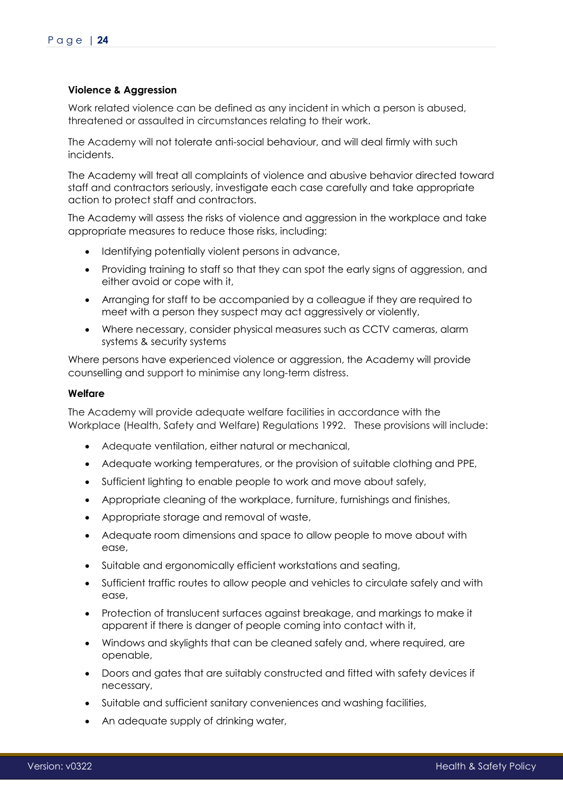# <span id="page-23-0"></span>**Violence & Aggression**

Work related violence can be defined as any incident in which a person is abused, threatened or assaulted in circumstances relating to their work.

The Academy will not tolerate anti-social behaviour, and will deal firmly with such incidents.

The Academy will treat all complaints of violence and abusive behavior directed toward staff and contractors seriously, investigate each case carefully and take appropriate action to protect staff and contractors.

The Academy will assess the risks of violence and aggression in the workplace and take appropriate measures to reduce those risks, including:

- Identifying potentially violent persons in advance,
- Providing training to staff so that they can spot the early signs of aggression, and either avoid or cope with it,
- Arranging for staff to be accompanied by a colleague if they are required to meet with a person they suspect may act aggressively or violently,
- Where necessary, consider physical measures such as CCTV cameras, alarm systems & security systems

Where persons have experienced violence or aggression, the Academy will provide counselling and support to minimise any long-term distress.

### <span id="page-23-1"></span>**Welfare**

The Academy will provide adequate welfare facilities in accordance with the Workplace (Health, Safety and Welfare) Regulations 1992. These provisions will include:

- Adequate ventilation, either natural or mechanical,
- Adequate working temperatures, or the provision of suitable clothing and PPE,
- Sufficient lighting to enable people to work and move about safely,
- Appropriate cleaning of the workplace, furniture, furnishings and finishes,
- Appropriate storage and removal of waste,
- Adequate room dimensions and space to allow people to move about with ease,
- Suitable and ergonomically efficient workstations and seating,
- Sufficient traffic routes to allow people and vehicles to circulate safely and with ease,
- Protection of translucent surfaces against breakage, and markings to make it apparent if there is danger of people coming into contact with it,
- Windows and skylights that can be cleaned safely and, where required, are openable,
- Doors and gates that are suitably constructed and fitted with safety devices if necessary,
- Suitable and sufficient sanitary conveniences and washing facilities,
- An adeauate supply of drinking water,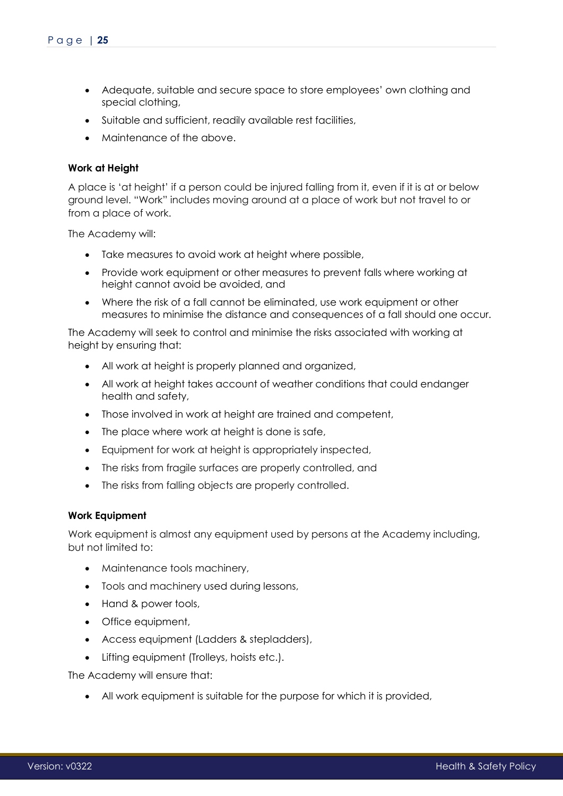- Adequate, suitable and secure space to store employees' own clothing and special clothing,
- Suitable and sufficient, readily available rest facilities,
- Maintenance of the above.

# <span id="page-24-0"></span>**Work at Height**

A place is 'at height' if a person could be injured falling from it, even if it is at or below ground level. "Work" includes moving around at a place of work but not travel to or from a place of work.

The Academy will:

- Take measures to avoid work at height where possible,
- Provide work equipment or other measures to prevent falls where working at height cannot avoid be avoided, and
- Where the risk of a fall cannot be eliminated, use work equipment or other measures to minimise the distance and consequences of a fall should one occur.

The Academy will seek to control and minimise the risks associated with working at height by ensuring that:

- All work at height is properly planned and organized,
- All work at height takes account of weather conditions that could endanger health and safety,
- Those involved in work at height are trained and competent,
- The place where work at height is done is safe,
- Equipment for work at height is appropriately inspected,
- The risks from fragile surfaces are properly controlled, and
- The risks from falling objects are properly controlled.

### <span id="page-24-1"></span>**Work Equipment**

Work equipment is almost any equipment used by persons at the Academy including, but not limited to:

- Maintenance tools machinery,
- Tools and machinery used during lessons,
- Hand & power tools,
- Office equipment,
- Access equipment (Ladders & stepladders),
- Lifting equipment (Trolleys, hoists etc.).

The Academy will ensure that:

All work equipment is suitable for the purpose for which it is provided,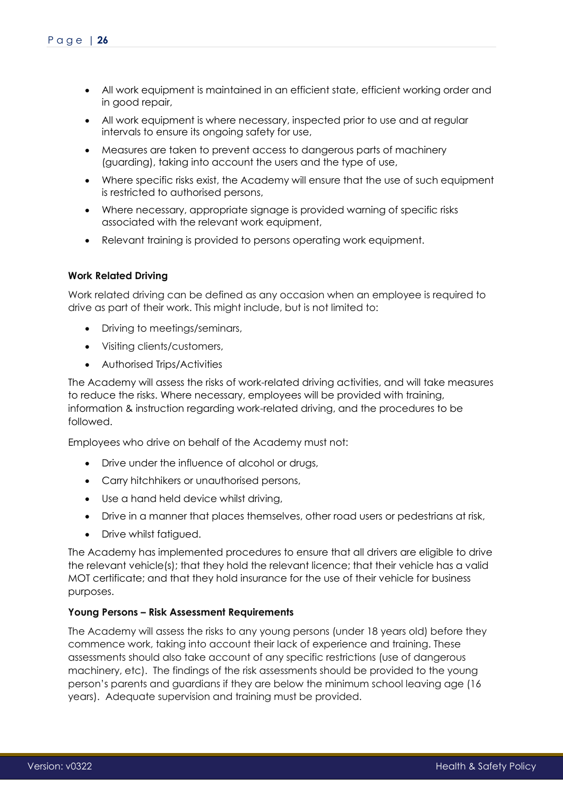- All work equipment is maintained in an efficient state, efficient working order and in good repair,
- All work equipment is where necessary, inspected prior to use and at regular intervals to ensure its ongoing safety for use,
- Measures are taken to prevent access to dangerous parts of machinery (guarding), taking into account the users and the type of use,
- Where specific risks exist, the Academy will ensure that the use of such equipment is restricted to authorised persons,
- Where necessary, appropriate signage is provided warning of specific risks associated with the relevant work equipment,
- Relevant training is provided to persons operating work equipment.

# <span id="page-25-0"></span>**Work Related Driving**

Work related driving can be defined as any occasion when an employee is required to drive as part of their work. This might include, but is not limited to:

- Driving to meetings/seminars,
- Visiting clients/customers,
- Authorised Trips/Activities

The Academy will assess the risks of work-related driving activities, and will take measures to reduce the risks. Where necessary, employees will be provided with training, information & instruction regarding work-related driving, and the procedures to be followed.

Employees who drive on behalf of the Academy must not:

- Drive under the influence of alcohol or drugs,
- Carry hitchhikers or unauthorised persons,
- Use a hand held device whilst driving,
- Drive in a manner that places themselves, other road users or pedestrians at risk,
- Drive whilst fatiqued.

The Academy has implemented procedures to ensure that all drivers are eligible to drive the relevant vehicle(s); that they hold the relevant licence; that their vehicle has a valid MOT certificate; and that they hold insurance for the use of their vehicle for business purposes.

### <span id="page-25-1"></span>**Young Persons – Risk Assessment Requirements**

The Academy will assess the risks to any young persons (under 18 years old) before they commence work, taking into account their lack of experience and training. These assessments should also take account of any specific restrictions (use of dangerous machinery, etc). The findings of the risk assessments should be provided to the young person's parents and guardians if they are below the minimum school leaving age (16 years). Adequate supervision and training must be provided.